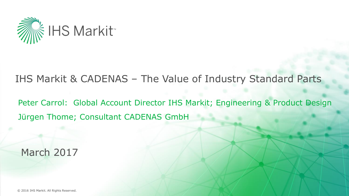

## IHS Markit & CADENAS – The Value of Industry Standard Parts

Peter Carrol: Global Account Director IHS Markit; Engineering & Product Design Jürgen Thome; Consultant CADENAS GmbH

March 2017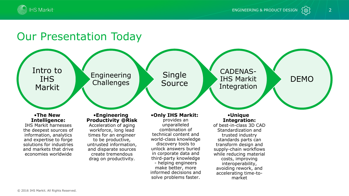



∑⊚`

## Our Presentation Today

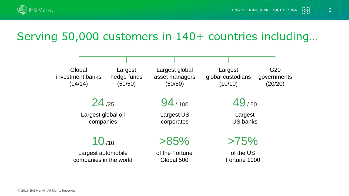

*{*@}

## Serving 50,000 customers in 140+ countries including…

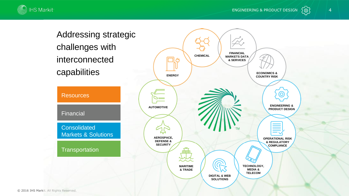



Addressing strategic challenges with interconnected



**CHEMICAL**

**FINANCIAL MARKETS DATA & SERVICES**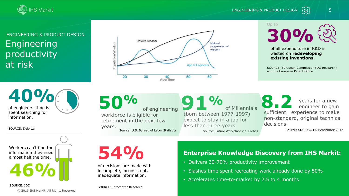

ENGINEERING & PRODUCT DESIGN



### Engineering productivity at risk ENGINEERING & PRODUCT DESIGN



Up to **30%**

of all expenditure in R&D is wasted on **redeveloping existing inventions.** 

SOURCE: European Commission (DG Research) and the European Patent Office

**40%** of engineers' time is spent searching for information.

SOURCE: Deloitte

**46%** Workers can't find the information they need almost half the time.

SOURCE: IDC

© 2016 IHS Markit. All Rights Reserved.

of engineering workforce is eligible for retirement in the next few years. **50%** Source: U.S. Bureau of Labor Statistics

of Millennials (born between 1977-1997) expect to stay in a job for less than three years. **91%** Source: Future Workplace via. Forbes

years for a new engineer to gain sufficient experience to make non-standard, original technical decisions. **8.2**

Source: SDC O&G HR Benchmark 2012

**54%**

of decisions are made with incomplete, inconsistent, inadequate information.

SOURCE: Infocentric Research

### **Enterprise Knowledge Discovery from IHS Markit:**

- Delivers 30-70% productivity improvement
- Slashes time spent recreating work already done by 50%
- Accelerates time-to-market by 2.5 to 4 months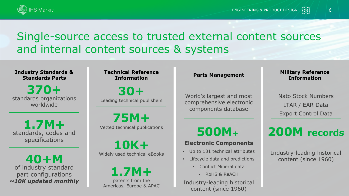



## Single-source access to trusted external content sources and internal content sources & systems

**Industry Standards & Standards Parts**

standards organizations worldwide **370+**

standards, codes and specifications **1.7M+**

of industry standard part configurations *~10K updated monthly* **40+M**

**Technical Reference Information**

Leading technical publishers **30+**

Vetted technical publications **75M+**

Widely used technical eBooks **10K+**

patents from the Americas, Europe & APAC **1.7M+**

### **Parts Management**

World's largest and most comprehensive electronic components database

### **Military Reference Information**

1⊚i

Nato Stock Numbers ITAR / EAR Data Export Control Data

## **500M<sup>+</sup>**

### **Electronic Components**

- Up to 131 technical attributes
- Lifecycle data and predictions
	- Conflict Mineral data
		- RoHS & ReACH

Industry-leading historical content (since 1960)

## **200M records**

Industry-leading historical content (since 1960)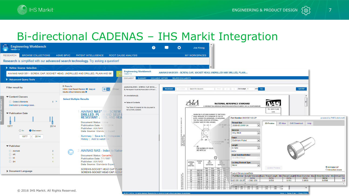

## Bi-directional CADENAS – IHS Markit Integration

| <b>Engineering Workbench</b><br>Version 1.4                                                       |                                                                                                                                                                                                                                                                                                                      | ⋒                                                                                                             | ۰<br>Joe Kroog                                                                                                                                                                                                                                                                                                                                                                                                                                                                                                               |                                           |
|---------------------------------------------------------------------------------------------------|----------------------------------------------------------------------------------------------------------------------------------------------------------------------------------------------------------------------------------------------------------------------------------------------------------------------|---------------------------------------------------------------------------------------------------------------|------------------------------------------------------------------------------------------------------------------------------------------------------------------------------------------------------------------------------------------------------------------------------------------------------------------------------------------------------------------------------------------------------------------------------------------------------------------------------------------------------------------------------|-------------------------------------------|
| <b>BROWSE COLLECTIONS</b><br><b>ESEARCH</b>                                                       | <b>ROOT CAUSE ANALYSIS</b><br>ASME BPVC<br>PATENT INTELLIGENCE                                                                                                                                                                                                                                                       |                                                                                                               | <b>MY WORKSPACES</b>                                                                                                                                                                                                                                                                                                                                                                                                                                                                                                         |                                           |
|                                                                                                   | Research is simplified with our advanced search technology. Try asking a question!                                                                                                                                                                                                                                   |                                                                                                               |                                                                                                                                                                                                                                                                                                                                                                                                                                                                                                                              |                                           |
| Refine Source Selection                                                                           |                                                                                                                                                                                                                                                                                                                      |                                                                                                               |                                                                                                                                                                                                                                                                                                                                                                                                                                                                                                                              |                                           |
| AIA/NAS NAS1351 - SCREW, CAP, SOCKET HEAD, UNDRILLED AND DRILLED, PLAIN AND SE                    |                                                                                                                                                                                                                                                                                                                      | <b>Engineering Workbench</b><br>Version 1.4                                                                   | AIA/NAS NAS1351 - SCREW, CAP, SOCKET HEAD, UNDRILLED AND DRILLED, PLAIN                                                                                                                                                                                                                                                                                                                                                                                                                                                      |                                           |
| Advanced Query Tools                                                                              |                                                                                                                                                                                                                                                                                                                      | <b>DOCUMENT</b><br>SUMMARY DOCUMENT HISTORY                                                                   | RELATED DOCUMENTS                                                                                                                                                                                                                                                                                                                                                                                                                                                                                                            |                                           |
| <b>Filter result by</b>                                                                           | 5 Results<br>$\mathbf{H}$<br>Within: Most Recent Revision X Keep all<br>Show:<br>results without revisions data X                                                                                                                                                                                                    | AIA/NAS NAS1351 - SCREVV, CAP, SOCK<br>By Aerospace Industries Association of Ameri                           | of 6 Go<br>Get PDF<br><b>Bookmark</b><br>Find < > Gotopage 1<br>Search for Keyword.<br>innotata II                                                                                                                                                                                                                                                                                                                                                                                                                           |                                           |
| Content Classes<br>5 ><br>Codes & Standards<br>Distribution by knowledge bases.                   | <b>Select Multiple Results</b>                                                                                                                                                                                                                                                                                       | Annotations (0)<br>Table of Contents<br>The Table of Contents for this document is<br>not currently available | E<br><b>NAS</b><br><b>NATIONAL AEROSPACE STANDARD</b><br>C COPYRIGHT 2014 AEROSPACE INDUSTRIES ASSOCIATION OF AMERICA, INC. ALL RIGHTS RESERVED<br>FED. SUPPLY CLASS                                                                                                                                                                                                                                                                                                                                                         |                                           |
| ▼ Publication Date<br>1977<br>2014<br><b>O</b> Between<br>$\bigcirc$ In<br>1977<br>2014<br>$\sim$ | AIA/NAS NAS <sup>1</sup><br><b>SCREW</b><br><b>DRILLED, PL</b><br>AND SELF<br><b>RESISTANT:</b><br>L AND HE <i>I</i><br><b>Document Status:</b><br>ctive<br><b>Publication Date: 1</b><br>1/2014<br>Publisher: AIA/NAS<br>Data Source: Standards Expert<br>Summary   Save to My Workspaces<br>History   Add to watch |                                                                                                               | 5305<br>WHEN SELF-LOCKING ELEMENT IS SPECIFIED:<br>HEAD MARKING OF A MINIMUM OF SIX (6)<br>Part Number: NAS1351-00-2P<br>powered by PARTsolutions®<br>DOTS, RAISED OR DEPRESSED, IS REQUIRED.<br>TOP OR SIDE LOCATION OPTIONAL.<br>(SCREW SIZES 04 AND LARGER)<br><b>Thread Size</b><br><b>3D Preview</b><br>2D View<br><b>CAD Download</b><br>Help<br>30° TO 45° -<br>.0600-80 UNRF-3A<br>insantia (<br>l.<br>1U<br><b>Material</b><br><b>Alloy Steel</b><br><b>Finish</b><br>$BA -$<br>Cadmium Plated<br>I.<br>NTIFICATION |                                           |
| ▼ Publisher<br>AIA/NAS<br>$\overline{2}$<br>$\Box$ AR<br>$\Box$ MI<br>$\Box$ SH                   | <b>AIA/NAS NAS - Index to Natio</b><br><b>Document Status: Cancelled</b><br>Publication Date: 7/1/1997<br>Publisher: AIA/NAS<br>Data Source: Standards Experi                                                                                                                                                        |                                                                                                               | NOTE /e/<br>883<br>Length<br>$\alpha$<br>0.1250<br>Iv.<br>FOR NUMBER OF HOLES.<br>SEE NOTE /d/<br><b>INCH</b><br><b>Head Undrilled/Drilled</b><br>$^{\circ}$<br><b>Undrilled Head</b><br>THREAD<br>ØD<br>O15<br>NOMINAL<br><b>Locking Element Type</b><br><b>FEAD</b><br>SIZE<br><b>BODY</b><br>SIZE<br><b>DIAMETER</b><br>DIAMETER<br>None<br>$\vert \cdot \vert$<br>DASH NO.<br><b>O</b> Animated GIF                                                                                                                      |                                           |
| Document Language                                                                                 | SCREWS-SOCKET HEAD CAP PLAIN<br><b>SCREWS-SOCKET HEAD CAP (NON-I</b>                                                                                                                                                                                                                                                 |                                                                                                               | Update Preview<br>MAX:   MIN.  <br>MAX.<br><b>OInteractive viewer</b><br><b>Product Dimensional Data</b><br>$.140 - .134$<br>Part Number Length Tolerance Basic Thread Length - Min. Thread Length D Body Diameter - Max. D Body Diameter - Min. A Head Diar<br>.099 .0949 .161 .154<br>22-000                                                                                                                                                                                                                               |                                           |
| © 2016 IHS Markit. All Rights Reserved.                                                           |                                                                                                                                                                                                                                                                                                                      | @ 2017. IHS Inc. All rights reserved. Regraduation in whole or in part without per                            | $20 - 48$<br>1075<br>$.183 -$<br><b>INCH</b><br><b>INCH</b><br><b>INCH</b><br><b>INCH</b><br><b>INCH</b><br>NAS1351-00-2P +000/-030<br>0.500<br>0.113<br>0.0600<br>0.0568<br>$.164$ .1585<br>1640-36<br>$.1840$ $.312$ $.303$  <br>1900-32<br>$.190 -$<br>$.2500 - 28$<br>$.250$ $.2435$  <br>$.375$ $.365$<br>$3125 - 24$<br>.3125 .3053 .469 .457 .312 .306 .281<br>.550<br>About 1 Terms of Use 1 Privacy Pol                                                                                                             | <b>INC</b><br>0.0<br>$\ddot{\phantom{1}}$ |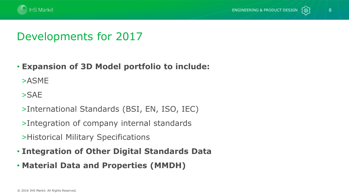



## Developments for 2017

### • **Expansion of 3D Model portfolio to include:**

>ASME

>SAE

- >International Standards (BSI, EN, ISO, IEC)
- >Integration of company internal standards
- >Historical Military Specifications
- **Integration of Other Digital Standards Data**
- **Material Data and Properties (MMDH)**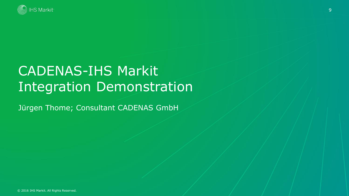

## CADENAS-IHS Markit Integration Demonstration

Jürgen Thome; Consultant CADENAS GmbH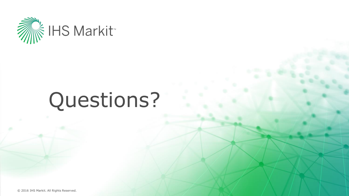

# Questions?

© 2016 IHS Markit. All Rights Reserved.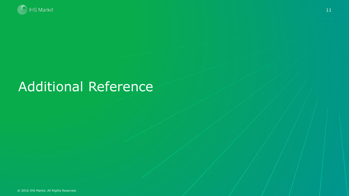

## Additional Reference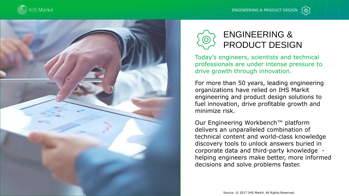

ENGINEERING & PRODUCT DESIGN



## ENGINEERING & PRODUCT DESIGN

Today's engineers, scientists and technical professionals are under intense pressure to drive growth through innovation.

For more than 50 years, leading engineering organizations have relied on IHS Markit engineering and product design solutions to fuel innovation, drive profitable growth and minimize risk.

Our Engineering Workbench™ platform delivers an unparalleled combination of technical content and world-class knowledge discovery tools to unlock answers buried in corporate data and third-party knowledge helping engineers make better, more informed decisions and solve problems faster.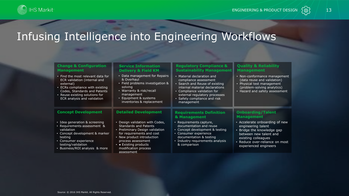

## Infusing Intelligence into Engineering Workflows

| <b>Change &amp; Configuration</b><br><b>Management</b>                                                                                                                                                             | <b>Service Information</b><br><b>Delivery &amp; Field KM</b>                                                                                                                                                                                             | <b>Regulatory Compliance &amp;</b><br><b>Sustainability Management</b>                                                                                                                                                                | <b>Quality &amp; Reliability</b><br><b>Management</b>                                                                                                                                          |
|--------------------------------------------------------------------------------------------------------------------------------------------------------------------------------------------------------------------|----------------------------------------------------------------------------------------------------------------------------------------------------------------------------------------------------------------------------------------------------------|---------------------------------------------------------------------------------------------------------------------------------------------------------------------------------------------------------------------------------------|------------------------------------------------------------------------------------------------------------------------------------------------------------------------------------------------|
| . Find the most relevant data for<br>ECR validation (internal and<br>external)<br>• ECRs compliance with existing<br>Codes, Standards and Patents<br>• Reuse existing solutions for<br>ECR analysis and validation | • Data management for Repairs<br>& Overhaul<br>· Field problems investigation &<br>solving<br>· Warranty & risk/recall<br>management<br>• Equipment & systems<br>inventories & replacement                                                               | • Material declaration and<br>compliance assessment<br>• Search and Reuse of existing<br>internal material declarations<br>• Compliance validation for<br>external regulatory processes<br>• Safety compliance and risk<br>management | • Non-conformance management<br>(data reuse and validation)<br>• Physical test management<br>(problem-solving analytics)<br>• Hazard and safety assessment                                     |
| <b>Concept Development</b>                                                                                                                                                                                         | <b>Detailed Development</b>                                                                                                                                                                                                                              | <b>Requirements Definition</b><br>& Management                                                                                                                                                                                        | <b>Onboarding/Talent</b><br><b>Management</b>                                                                                                                                                  |
| · Idea generation & screening<br>• Requirements assessment &<br>validation<br>• Concept development & marker<br>testing<br>• Consumer experience<br>testing/validation<br>• Business/ROI analysis & more           | • Design validation with Codes,<br><b>Standards and Patents</b><br>• Preliminary Design validation<br>for requirements and cost<br>• New product introduction<br>process assessment<br>$\cdot$ • Existing products<br>modification process<br>assessment | • Requirements capture,<br>documentation and reuse<br>• Concept development & testing<br>• Consumer experience<br>documentation & testing<br>• Industry requirements analysis<br>& comparison                                         | • Accelerate onboarding of new<br>engineering talent<br>• Bridge the knowledge gap<br>between new talent and<br>existing colleagues<br>• Reduce over-reliance on most<br>experienced engineers |